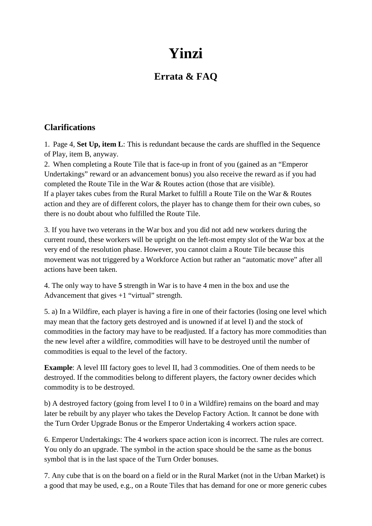## **Yinzi**

## **Errata & FAQ**

## **Clarifications**

1. Page 4, **Set Up, item L**: This is redundant because the cards are shuffled in the Sequence of Play, item B, anyway.

2. When completing a Route Tile that is face-up in front of you (gained as an "Emperor Undertakings" reward or an advancement bonus) you also receive the reward as if you had completed the Route Tile in the War & Routes action (those that are visible). If a player takes cubes from the Rural Market to fulfill a Route Tile on the War & Routes action and they are of different colors, the player has to change them for their own cubes, so there is no doubt about who fulfilled the Route Tile.

3. If you have two veterans in the War box and you did not add new workers during the current round, these workers will be upright on the left-most empty slot of the War box at the very end of the resolution phase. However, you cannot claim a Route Tile because this movement was not triggered by a Workforce Action but rather an "automatic move" after all actions have been taken.

4. The only way to have **5** strength in War is to have 4 men in the box and use the Advancement that gives +1 "virtual" strength.

5. a) In a Wildfire, each player is having a fire in one of their factories (losing one level which may mean that the factory gets destroyed and is unowned if at level I) and the stock of commodities in the factory may have to be readjusted. If a factory has more commodities than the new level after a wildfire, commodities will have to be destroyed until the number of commodities is equal to the level of the factory.

**Example**: A level III factory goes to level II, had 3 commodities. One of them needs to be destroyed. If the commodities belong to different players, the factory owner decides which commodity is to be destroyed.

b) A destroyed factory (going from level I to 0 in a Wildfire) remains on the board and may later be rebuilt by any player who takes the Develop Factory Action. It cannot be done with the Turn Order Upgrade Bonus or the Emperor Undertaking 4 workers action space.

6. Emperor Undertakings: The 4 workers space action icon is incorrect. The rules are correct. You only do an upgrade. The symbol in the action space should be the same as the bonus symbol that is in the last space of the Turn Order bonuses.

7. Any cube that is on the board on a field or in the Rural Market (not in the Urban Market) is a good that may be used, e.g., on a Route Tiles that has demand for one or more generic cubes